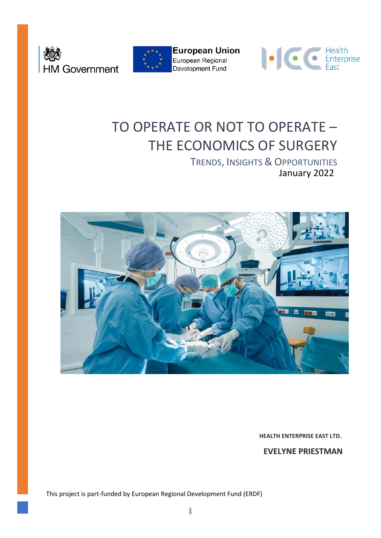





# TO OPERATE OR NOT TO OPERATE – THE ECONOMICS OF SURGERY

January 2022 TRENDS, INSIGHTS & OPPORTUNITIES



**HEALTH ENTERPRISE EAST LTD.**

**EVELYNE PRIESTMAN**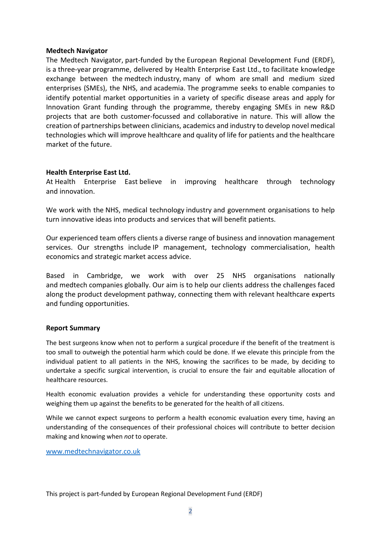#### **Medtech Navigator**

The Medtech Navigator, part-funded by the European Regional Development Fund (ERDF), is a three-year programme, delivered by Health Enterprise East Ltd., to facilitate knowledge exchange between the medtech industry, many of whom are small and medium sized enterprises (SMEs), the NHS, and academia. The programme seeks to enable companies to identify potential market opportunities in a variety of specific disease areas and apply for Innovation Grant funding through the programme, thereby engaging SMEs in new R&D projects that are both customer-focussed and collaborative in nature. This will allow the creation of partnerships between clinicians, academics and industry to develop novel medical technologies which will improve healthcare and quality of life for patients and the healthcare market of the future.

#### **Health Enterprise East Ltd.**

At Health Enterprise East believe in improving healthcare through technology and innovation.

We work with the NHS, medical technology industry and government organisations to help turn innovative ideas into products and services that will benefit patients.

Our experienced team offers clients a diverse range of business and innovation management services. Our strengths include IP management, technology commercialisation, health economics and strategic market access advice.

Based in Cambridge, we work with over 25 NHS organisations nationally and medtech companies globally. Our aim is to help our clients address the challenges faced along the product development pathway, connecting them with relevant healthcare experts and funding opportunities.

#### **Report Summary**

The best surgeons know when not to perform a surgical procedure if the benefit of the treatment is too small to outweigh the potential harm which could be done. If we elevate this principle from the individual patient to all patients in the NHS, knowing the sacrifices to be made, by deciding to undertake a specific surgical intervention, is crucial to ensure the fair and equitable allocation of healthcare resources.

Health economic evaluation provides a vehicle for understanding these opportunity costs and weighing them up against the benefits to be generated for the health of all citizens.

While we cannot expect surgeons to perform a health economic evaluation every time, having an understanding of the consequences of their professional choices will contribute to better decision making and knowing when *not* to operate.

[www.medtechnavigator.co.uk](http://www.medtechnavigator.co.uk/)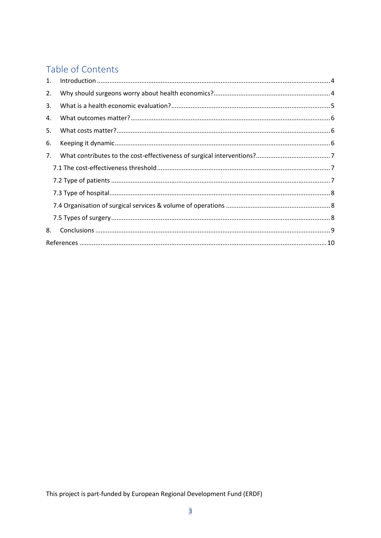# Table of Contents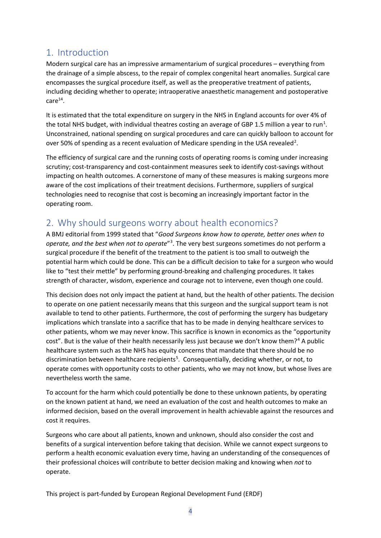# <span id="page-3-0"></span>1. Introduction

Modern surgical care has an impressive armamentarium of surgical procedures – everything from the drainage of a simple abscess, to the repair of complex congenital heart anomalies. Surgical care encompasses the surgical procedure itself, as well as the preoperative treatment of patients, including deciding whether to operate; intraoperative anaesthetic management and postoperative  $care<sup>14</sup>$ .

It is estimated that the total expenditure on surgery in the NHS in England accounts for over 4% of the total NHS budget, with individual theatres costing an average of GBP [1](#page-9-1).5 million a year to run<sup>1</sup>. Unconstrained, national spending on surgical procedures and care can quickly balloon to account for over 50% of spending as a recent evaluation of Medicare spending in the USA revealed<sup>[2](#page-9-2)</sup>.

The efficiency of surgical care and the running costs of operating rooms is coming under increasing scrutiny; cost-transparency and cost-containment measures seek to identify cost-savings without impacting on health outcomes. A cornerstone of many of these measures is making surgeons more aware of the cost implications of their treatment decisions. Furthermore, suppliers of surgical technologies need to recognise that cost is becoming an increasingly important factor in the operating room.

# <span id="page-3-1"></span>2. Why should surgeons worry about health economics?

A BMJ editorial from 1999 stated that "*Good Surgeons know how to operate, better ones when to operate, and the best when not to operate*"[3](#page-9-3) . The very best surgeons sometimes do not perform a surgical procedure if the benefit of the treatment to the patient is too small to outweigh the potential harm which could be done. This can be a difficult decision to take for a surgeon who would like to "test their mettle" by performing ground-breaking and challenging procedures. It takes strength of character, wisdom, experience and courage not to intervene, even though one could.

This decision does not only impact the patient at hand, but the health of other patients. The decision to operate on one patient necessarily means that this surgeon and the surgical support team is not available to tend to other patients. Furthermore, the cost of performing the surgery has budgetary implications which translate into a sacrifice that has to be made in denying healthcare services to other patients, whom we may never know. This sacrifice is known in economics as the "opportunity cost". But is the value of their health necessarily less just because we don't know them?[4](#page-9-4) A public healthcare system such as the NHS has equity concerns that mandate that there should be no discrimination between healthcare recipients<sup>[5](#page-9-5)</sup>. Consequentially, deciding whether, or not, to operate comes with opportunity costs to other patients, who we may not know, but whose lives are nevertheless worth the same.

To account for the harm which could potentially be done to these unknown patients, by operating on the known patient at hand, we need an evaluation of the cost and health outcomes to make an informed decision, based on the overall improvement in health achievable against the resources and cost it requires.

Surgeons who care about all patients, known and unknown, should also consider the cost and benefits of a surgical intervention before taking that decision. While we cannot expect surgeons to perform a health economic evaluation every time, having an understanding of the consequences of their professional choices will contribute to better decision making and knowing when *not* to operate.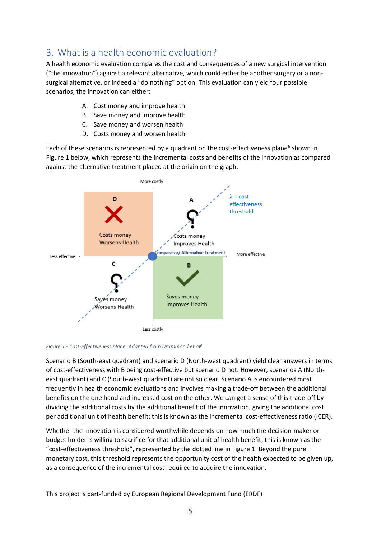# <span id="page-4-0"></span>3. What is a health economic evaluation?

A health economic evaluation compares the cost and consequences of a new surgical intervention ("the innovation") against a relevant alternative, which could either be another surgery or a nonsurgical alternative, or indeed a "do nothing" option. This evaluation can yield four possible scenarios; the innovation can either;

- A. Cost money and improve health
- B. Save money and improve health
- C. Save money and worsen health
- <span id="page-4-2"></span>D. Costs money and worsen health

Each of these scenarios is represented by a quadrant on the cost-effectiveness plane<sup>[6](#page-9-6)</sup> shown in [Figure 1](#page-4-1) below, which represents the incremental costs and benefits of the innovation as compared against the alternative treatment placed at the origin on the graph.



<span id="page-4-1"></span>*Figure 1 - Cost-effectiveness plane. Adapted from Drummond et [al6](#page-4-2)*

Scenario B (South-east quadrant) and scenario D (North-west quadrant) yield clear answers in terms of cost-effectiveness with B being cost-effective but scenario D not. However, scenarios A (Northeast quadrant) and C (South-west quadrant) are not so clear. Scenario A is encountered most frequently in health economic evaluations and involves making a trade-off between the additional benefits on the one hand and increased cost on the other. We can get a sense of this trade-off by dividing the additional costs by the additional benefit of the innovation, giving the additional cost per additional unit of health benefit; this is known as the incremental cost-effectiveness ratio (ICER).

Whether the innovation is considered worthwhile depends on how much the decision-maker or budget holder is willing to sacrifice for that additional unit of health benefit; this is known as the "cost-effectiveness threshold", represented by the dotted line in [Figure 1.](#page-4-1) Beyond the pure monetary cost, this threshold represents the opportunity cost of the health expected to be given up, as a consequence of the incremental cost required to acquire the innovation.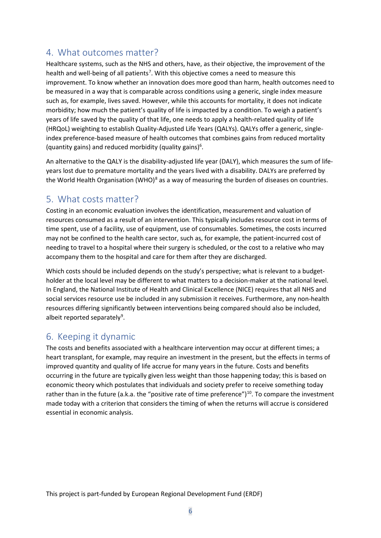# <span id="page-5-0"></span>4. What outcomes matter?

Healthcare systems, such as the NHS and others, have, as their objective, the improvement of the health and well-being of all patients<sup>[7](#page-9-7)</sup>. With this objective comes a need to measure this improvement. To know whether an innovation does more good than harm, health outcomes need to be measured in a way that is comparable across conditions using a generic, single index measure such as, for example, lives saved. However, while this accounts for mortality, it does not indicate morbidity; how much the patient's quality of life is impacted by a condition. To weigh a patient's years of life saved by the quality of that life, one needs to apply a health-related quality of life (HRQoL) weighting to establish Quality-Adjusted Life Years (QALYs). QALYs offer a generic, singleindex preference-based measure of health outcomes that combines gains from reduced mortality (quantity gains) and reduced morbidity (quality gains) $6$ .

An alternative to the QALY is the disability-adjusted life year (DALY), which measures the sum of lifeyears lost due to premature mortality and the years lived with a disability. DALYs are preferred by the World Health Organisation (WHO) $^8$  $^8$  as a way of measuring the burden of diseases on countries.

# <span id="page-5-1"></span>5. What costs matter?

Costing in an economic evaluation involves the identification, measurement and valuation of resources consumed as a result of an intervention. This typically includes resource cost in terms of time spent, use of a facility, use of equipment, use of consumables. Sometimes, the costs incurred may not be confined to the health care sector, such as, for example, the patient-incurred cost of needing to travel to a hospital where their surgery is scheduled, or the cost to a relative who may accompany them to the hospital and care for them after they are discharged.

Which costs should be included depends on the study's perspective; what is relevant to a budgetholder at the local level may be different to what matters to a decision-maker at the national level. In England, the National Institute of Health and Clinical Excellence (NICE) requires that all NHS and social services resource use be included in any submission it receives. Furthermore, any non-health resources differing significantly between interventions being compared should also be included, albeit reported separately<sup>[9](#page-9-9)</sup>.

# <span id="page-5-2"></span>6. Keeping it dynamic

The costs and benefits associated with a healthcare intervention may occur at different times; a heart transplant, for example, may require an investment in the present, but the effects in terms of improved quantity and quality of life accrue for many years in the future. Costs and benefits occurring in the future are typically given less weight than those happening today; this is based on economic theory which postulates that individuals and society prefer to receive something today rather than in the future (a.k.a. the "positive rate of time preference")<sup>[10](#page-9-10)</sup>. To compare the investment made today with a criterion that considers the timing of when the returns will accrue is considered essential in economic analysis.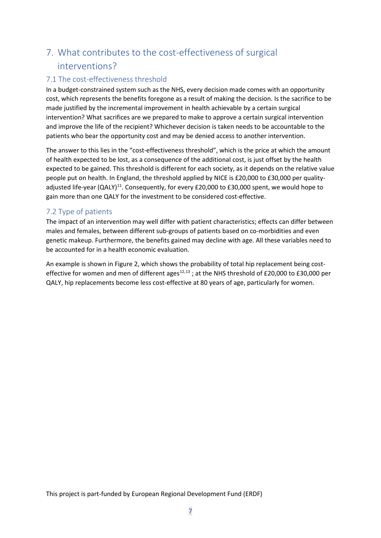# <span id="page-6-0"></span>7. What contributes to the cost-effectiveness of surgical interventions?

### <span id="page-6-1"></span>7.1 The cost-effectiveness threshold

In a budget-constrained system such as the NHS, every decision made comes with an opportunity cost, which represents the benefits foregone as a result of making the decision. Is the sacrifice to be made justified by the incremental improvement in health achievable by a certain surgical intervention? What sacrifices are we prepared to make to approve a certain surgical intervention and improve the life of the recipient? Whichever decision is taken needs to be accountable to the patients who bear the opportunity cost and may be denied access to another intervention.

The answer to this lies in the "cost-effectiveness threshold", which is the price at which the amount of health expected to be lost, as a consequence of the additional cost, is just offset by the health expected to be gained. This threshold is different for each society, as it depends on the relative value people put on health. In England, the threshold applied by NICE is £20,000 to £30,000 per quality-adjusted life-year (QALY)<sup>[11](#page-9-11)</sup>. Consequently, for every £20,000 to £30,000 spent, we would hope to gain more than one QALY for the investment to be considered cost-effective.

### <span id="page-6-2"></span>7.2 Type of patients

The impact of an intervention may well differ with patient characteristics; effects can differ between males and females, between different sub-groups of patients based on co-morbidities and even genetic makeup. Furthermore, the benefits gained may decline with age. All these variables need to be accounted for in a health economic evaluation.

An example is shown in [Figure 2,](#page-7-4) which shows the probability of total hip replacement being costeffective for women and men of different ages $^{12,13}$  $^{12,13}$  $^{12,13}$  $^{12,13}$  $^{12,13}$ ; at the NHS threshold of £20,000 to £30,000 per QALY, hip replacements become less cost-effective at 80 years of age, particularly for women.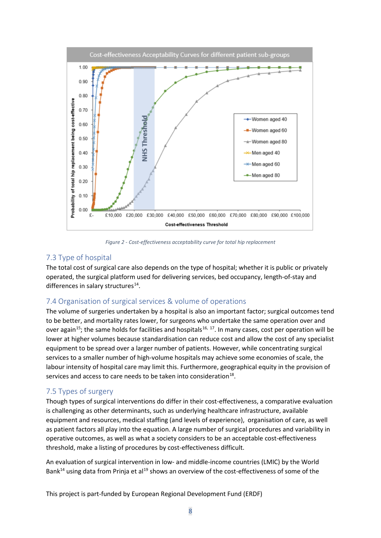

<span id="page-7-3"></span>*Figure 2 - Cost-effectiveness acceptability curve for total hip replacement*

#### <span id="page-7-4"></span><span id="page-7-0"></span>7.3 Type of hospital

The total cost of surgical care also depends on the type of hospital; whether it is public or privately operated, the surgical platform used for delivering services, bed occupancy, length-of-stay and differences in salary structures<sup>14</sup>.

### <span id="page-7-1"></span>7.4 Organisation of surgical services & volume of operations

The volume of surgeries undertaken by a hospital is also an important factor; surgical outcomes tend to be better, and mortality rates lower, for surgeons who undertake the same operation over and over again<sup>[15](#page-9-15)</sup>; the same holds for facilities and hospitals<sup>[16,](#page-9-16) [17](#page-9-17)</sup>. In many cases, cost per operation will be lower at higher volumes because standardisation can reduce cost and allow the cost of any specialist equipment to be spread over a larger number of patients. However, while concentrating surgical services to a smaller number of high-volume hospitals may achieve some economies of scale, the labour intensity of hospital care may limit this. Furthermore, geographical equity in the provision of services and access to care needs to be taken into consideration<sup>18</sup>.

### <span id="page-7-2"></span>7.5 Types of surgery

Though types of surgical interventions do differ in their cost-effectiveness, a comparative evaluation is challenging as other determinants, such as underlying healthcare infrastructure, available equipment and resources, medical staffing (and levels of experience), organisation of care, as well as patient factors all play into the equation. A large number of surgical procedures and variability in operative outcomes, as well as what a society considers to be an acceptable cost-effectiveness threshold, make a listing of procedures by cost-effectiveness difficult.

An evaluation of surgical intervention in low- and middle-income countries (LMIC) by the World Bank<sup>14</sup> using data from Prinja et al<sup>[19](#page-9-19)</sup> shows an overview of the cost-effectiveness of some of the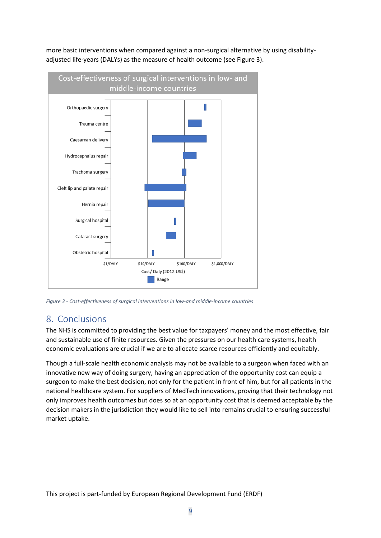

more basic interventions when compared against a non-surgical alternative by using disabilityadjusted life-years (DALYs) as the measure of health outcome (see [Figure 3\)](#page-8-1).

<span id="page-8-1"></span>*Figure 3 - Cost-effectiveness of surgical interventions in low-and middle-income countries*

### <span id="page-8-0"></span>8. Conclusions

The NHS is committed to providing the best value for taxpayers' money and the most effective, fair and sustainable use of finite resources. Given the pressures on our health care systems, health economic evaluations are crucial if we are to allocate scarce resources efficiently and equitably.

Though a full-scale health economic analysis may not be available to a surgeon when faced with an innovative new way of doing surgery, having an appreciation of the opportunity cost can equip a surgeon to make the best decision, not only for the patient in front of him, but for all patients in the national healthcare system. For suppliers of MedTech innovations, proving that their technology not only improves health outcomes but does so at an opportunity cost that is deemed acceptable by the decision makers in the jurisdiction they would like to sell into remains crucial to ensuring successful market uptake.